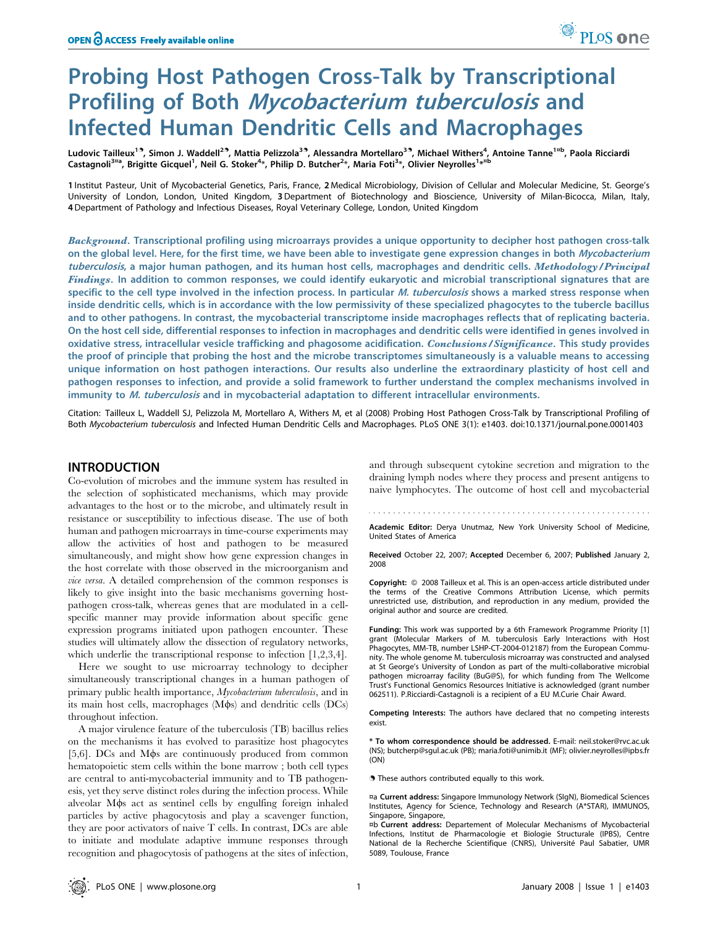# Probing Host Pathogen Cross-Talk by Transcriptional Profiling of Both Mycobacterium tuberculosis and Infected Human Dendritic Cells and Macrophages

Ludovic Tailleux<sup>1.9</sup>, Simon J. Waddell<sup>2.9</sup>, Mattia Pelizzola<sup>3.9</sup>, Alessandra Mortellaro<sup>3.9</sup>, Michael Withers<sup>4</sup>, Antoine Tanne<sup>1¤b</sup>, Paola Ricciardi Castagnoli<sup>3¤a</sup>, Brigitte Gicquel<sup>1</sup>, Neil G. Stoker<sup>4</sup>\*, Philip D. Butcher<sup>2</sup>\*, Maria Foti<sup>3</sup>\*, Olivier Neyrolles<sup>1</sup>\*<sup>¤b</sup>

1 Institut Pasteur, Unit of Mycobacterial Genetics, Paris, France, 2 Medical Microbiology, Division of Cellular and Molecular Medicine, St. George's University of London, London, United Kingdom, 3Department of Biotechnology and Bioscience, University of Milan-Bicocca, Milan, Italy, 4Department of Pathology and Infectious Diseases, Royal Veterinary College, London, United Kingdom

Background. Transcriptional profiling using microarrays provides a unique opportunity to decipher host pathogen cross-talk on the global level. Here, for the first time, we have been able to investigate gene expression changes in both Mycobacterium tuberculosis, a major human pathogen, and its human host cells, macrophages and dendritic cells. Methodology/Principal Findings. In addition to common responses, we could identify eukaryotic and microbial transcriptional signatures that are specific to the cell type involved in the infection process. In particular M. tuberculosis shows a marked stress response when inside dendritic cells, which is in accordance with the low permissivity of these specialized phagocytes to the tubercle bacillus and to other pathogens. In contrast, the mycobacterial transcriptome inside macrophages reflects that of replicating bacteria. On the host cell side, differential responses to infection in macrophages and dendritic cells were identified in genes involved in oxidative stress, intracellular vesicle trafficking and phagosome acidification. Conclusions/Significance. This study provides the proof of principle that probing the host and the microbe transcriptomes simultaneously is a valuable means to accessing unique information on host pathogen interactions. Our results also underline the extraordinary plasticity of host cell and pathogen responses to infection, and provide a solid framework to further understand the complex mechanisms involved in immunity to *M. tuberculosis* and in mycobacterial adaptation to different intracellular environments.

Citation: Tailleux L, Waddell SJ, Pelizzola M, Mortellaro A, Withers M, et al (2008) Probing Host Pathogen Cross-Talk by Transcriptional Profiling of Both Mycobacterium tuberculosis and Infected Human Dendritic Cells and Macrophages. PLoS ONE 3(1): e1403. doi:10.1371/journal.pone.0001403

## INTRODUCTION

Co-evolution of microbes and the immune system has resulted in the selection of sophisticated mechanisms, which may provide advantages to the host or to the microbe, and ultimately result in resistance or susceptibility to infectious disease. The use of both human and pathogen microarrays in time-course experiments may allow the activities of host and pathogen to be measured simultaneously, and might show how gene expression changes in the host correlate with those observed in the microorganism and vice versa. A detailed comprehension of the common responses is likely to give insight into the basic mechanisms governing hostpathogen cross-talk, whereas genes that are modulated in a cellspecific manner may provide information about specific gene expression programs initiated upon pathogen encounter. These studies will ultimately allow the dissection of regulatory networks, which underlie the transcriptional response to infection [1,2,3,4].

Here we sought to use microarray technology to decipher simultaneously transcriptional changes in a human pathogen of primary public health importance, Mycobacterium tuberculosis, and in its main host cells, macrophages  $(M\phi s)$  and dendritic cells  $(DCs)$ throughout infection.

A major virulence feature of the tuberculosis (TB) bacillus relies on the mechanisms it has evolved to parasitize host phagocytes [5,6]. DCs and M $\phi$ s are continuously produced from common hematopoietic stem cells within the bone marrow ; both cell types are central to anti-mycobacterial immunity and to TB pathogenesis, yet they serve distinct roles during the infection process. While alveolar M $\phi$ s act as sentinel cells by engulfing foreign inhaled particles by active phagocytosis and play a scavenger function, they are poor activators of naive T cells. In contrast, DCs are able to initiate and modulate adaptive immune responses through recognition and phagocytosis of pathogens at the sites of infection, and through subsequent cytokine secretion and migration to the draining lymph nodes where they process and present antigens to naive lymphocytes. The outcome of host cell and mycobacterial

Academic Editor: Derya Unutmaz, New York University School of Medicine, United States of America

Received October 22, 2007; Accepted December 6, 2007; Published January 2, 2008

Copyright: © 2008 Tailleux et al. This is an open-access article distributed under the terms of the Creative Commons Attribution License, which permits unrestricted use, distribution, and reproduction in any medium, provided the original author and source are credited.

Funding: This work was supported by a 6th Framework Programme Priority [1] grant (Molecular Markers of M. tuberculosis Early Interactions with Host Phagocytes, MM-TB, number LSHP-CT-2004-012187) from the European Community. The whole genome M. tuberculosis microarray was constructed and analysed at St George's University of London as part of the multi-collaborative microbial pathogen microarray facility (BuG@S), for which funding from The Wellcome Trust's Functional Genomics Resources Initiative is acknowledged (grant number 062511). P.Ricciardi-Castagnoli is a recipient of a EU M.Curie Chair Award.

Competing Interests: The authors have declared that no competing interests exist.

\* To whom correspondence should be addressed. E-mail: neil.stoker@rvc.ac.uk (NS); butcherp@sgul.ac.uk (PB); maria.foti@unimib.it (MF); olivier.neyrolles@ipbs.fr (ON)

**.** These authors contributed equally to this work.

¤a Current address: Singapore Immunology Network (SIgN), Biomedical Sciences Institutes, Agency for Science, Technology and Research (A\*STAR), IMMUNOS, Singapore, Singapore,

¤b Current address: Departement of Molecular Mechanisms of Mycobacterial Infections, Institut de Pharmacologie et Biologie Structurale (IPBS), Centre National de la Recherche Scientifique (CNRS), Université Paul Sabatier, UMR 5089, Toulouse, France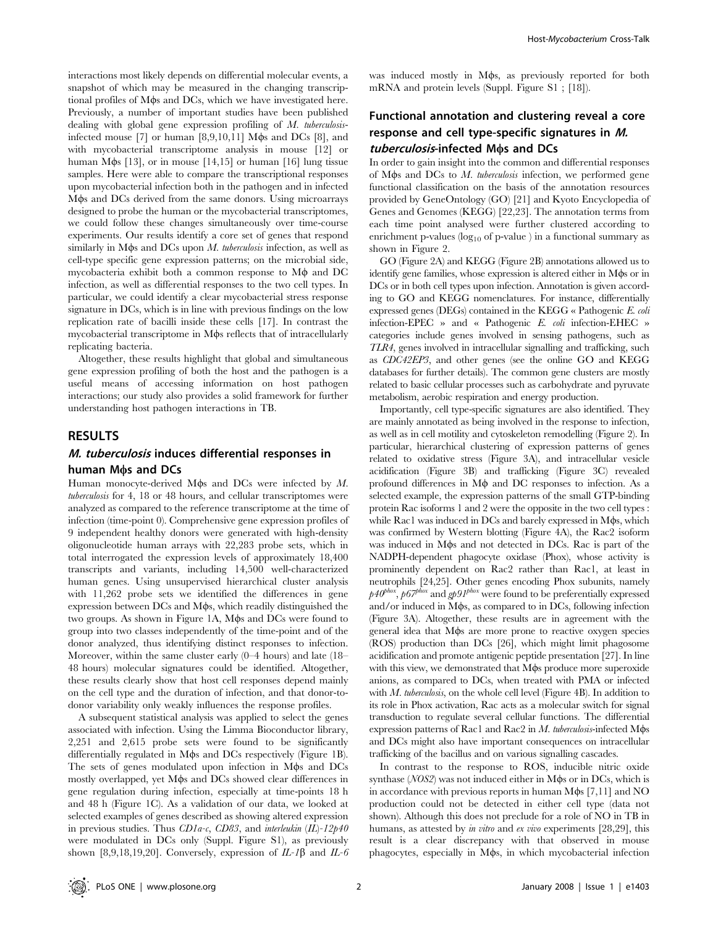interactions most likely depends on differential molecular events, a snapshot of which may be measured in the changing transcriptional profiles of M $\phi$ s and DCs, which we have investigated here. Previously, a number of important studies have been published dealing with global gene expression profiling of M. tuberculosisinfected mouse [7] or human  $[8,9,10,11]$  M $\phi$ s and DCs [8], and with mycobacterial transcriptome analysis in mouse [12] or human M $\phi$ s [13], or in mouse [14,15] or human [16] lung tissue samples. Here were able to compare the transcriptional responses upon mycobacterial infection both in the pathogen and in infected Mos and DCs derived from the same donors. Using microarrays designed to probe the human or the mycobacterial transcriptomes, we could follow these changes simultaneously over time-course experiments. Our results identify a core set of genes that respond similarly in M $\phi$ s and DCs upon M. tuberculosis infection, as well as cell-type specific gene expression patterns; on the microbial side, mycobacteria exhibit both a common response to  $M\phi$  and DC infection, as well as differential responses to the two cell types. In particular, we could identify a clear mycobacterial stress response signature in DCs, which is in line with previous findings on the low replication rate of bacilli inside these cells [17]. In contrast the mycobacterial transcriptome in M $\phi$ s reflects that of intracellularly replicating bacteria.

Altogether, these results highlight that global and simultaneous gene expression profiling of both the host and the pathogen is a useful means of accessing information on host pathogen interactions; our study also provides a solid framework for further understanding host pathogen interactions in TB.

## RESULTS

## M. tuberculosis induces differential responses in human Mos and DCs

Human monocyte-derived M $\phi$ s and DCs were infected by M. tuberculosis for 4, 18 or 48 hours, and cellular transcriptomes were analyzed as compared to the reference transcriptome at the time of infection (time-point 0). Comprehensive gene expression profiles of 9 independent healthy donors were generated with high-density oligonucleotide human arrays with 22,283 probe sets, which in total interrogated the expression levels of approximately 18,400 transcripts and variants, including 14,500 well-characterized human genes. Using unsupervised hierarchical cluster analysis with 11,262 probe sets we identified the differences in gene expression between  $DCs$  and  $M\phi s$ , which readily distinguished the two groups. As shown in Figure 1A, Mos and DCs were found to group into two classes independently of the time-point and of the donor analyzed, thus identifying distinct responses to infection. Moreover, within the same cluster early (0–4 hours) and late (18– 48 hours) molecular signatures could be identified. Altogether, these results clearly show that host cell responses depend mainly on the cell type and the duration of infection, and that donor-todonor variability only weakly influences the response profiles.

A subsequent statistical analysis was applied to select the genes associated with infection. Using the Limma Bioconductor library, 2,251 and 2,615 probe sets were found to be significantly differentially regulated in M $\phi$ s and DCs respectively (Figure 1B). The sets of genes modulated upon infection in M $\phi$ s and DCs mostly overlapped, yet M $\phi$ s and DCs showed clear differences in gene regulation during infection, especially at time-points 18 h and 48 h (Figure 1C). As a validation of our data, we looked at selected examples of genes described as showing altered expression in previous studies. Thus  $CDIa-c$ ,  $CD83$ , and interleukin  $(IL)-12p40$ were modulated in DCs only (Suppl. Figure S1), as previously shown [8,9,18,19,20]. Conversely, expression of  $IL-1\beta$  and  $IL-6$  was induced mostly in M $\phi$ s, as previously reported for both mRNA and protein levels (Suppl. Figure S1 ; [18]).

# Functional annotation and clustering reveal a core response and cell type-specific signatures in M. tuberculosis-infected Mos and DCs

In order to gain insight into the common and differential responses of M $\phi$ s and DCs to *M. tuberculosis* infection, we performed gene functional classification on the basis of the annotation resources provided by GeneOntology (GO) [21] and Kyoto Encyclopedia of Genes and Genomes (KEGG) [22,23]. The annotation terms from each time point analysed were further clustered according to enrichment p-values ( $log_{10}$  of p-value ) in a functional summary as shown in Figure 2.

GO (Figure 2A) and KEGG (Figure 2B) annotations allowed us to identify gene families, whose expression is altered either in M $\phi$ s or in DCs or in both cell types upon infection. Annotation is given according to GO and KEGG nomenclatures. For instance, differentially expressed genes (DEGs) contained in the KEGG « Pathogenic E. coli infection-EPEC » and « Pathogenic E. coli infection-EHEC » categories include genes involved in sensing pathogens, such as TLR4, genes involved in intracellular signalling and trafficking, such as CDC42EP3, and other genes (see the online GO and KEGG databases for further details). The common gene clusters are mostly related to basic cellular processes such as carbohydrate and pyruvate metabolism, aerobic respiration and energy production.

Importantly, cell type-specific signatures are also identified. They are mainly annotated as being involved in the response to infection, as well as in cell motility and cytoskeleton remodelling (Figure 2). In particular, hierarchical clustering of expression patterns of genes related to oxidative stress (Figure 3A), and intracellular vesicle acidification (Figure 3B) and trafficking (Figure 3C) revealed profound differences in  $M\phi$  and DC responses to infection. As a selected example, the expression patterns of the small GTP-binding protein Rac isoforms 1 and 2 were the opposite in the two cell types : while Rac1 was induced in  $DCs$  and barely expressed in  $M\phi s$ , which was confirmed by Western blotting (Figure 4A), the Rac2 isoform was induced in M $\phi$ s and not detected in DCs. Rac is part of the NADPH-dependent phagocyte oxidase (Phox), whose activity is prominently dependent on Rac2 rather than Rac1, at least in neutrophils [24,25]. Other genes encoding Phox subunits, namely  $p40^{phox}$ ,  $p67^{phox}$  and  $gp91^{phox}$  were found to be preferentially expressed and/or induced in  $M\phi s$ , as compared to in DCs, following infection (Figure 3A). Altogether, these results are in agreement with the general idea that M $\phi$ s are more prone to reactive oxygen species (ROS) production than DCs [26], which might limit phagosome acidification and promote antigenic peptide presentation [27]. In line with this view, we demonstrated that M $\phi$ s produce more superoxide anions, as compared to DCs, when treated with PMA or infected with *M. tuberculosis*, on the whole cell level (Figure 4B). In addition to its role in Phox activation, Rac acts as a molecular switch for signal transduction to regulate several cellular functions. The differential expression patterns of Rac1 and Rac2 in  $M$ . tuberculosis-infected M $\phi$ s and DCs might also have important consequences on intracellular trafficking of the bacillus and on various signalling cascades.

In contrast to the response to ROS, inducible nitric oxide synthase  $(NOS2)$  was not induced either in M $\phi$ s or in DCs, which is in accordance with previous reports in human  $M\phi s$  [7,11] and NO production could not be detected in either cell type (data not shown). Although this does not preclude for a role of NO in TB in humans, as attested by *in vitro* and *ex vivo* experiments [28,29], this result is a clear discrepancy with that observed in mouse phagocytes, especially in M $\phi$ s, in which mycobacterial infection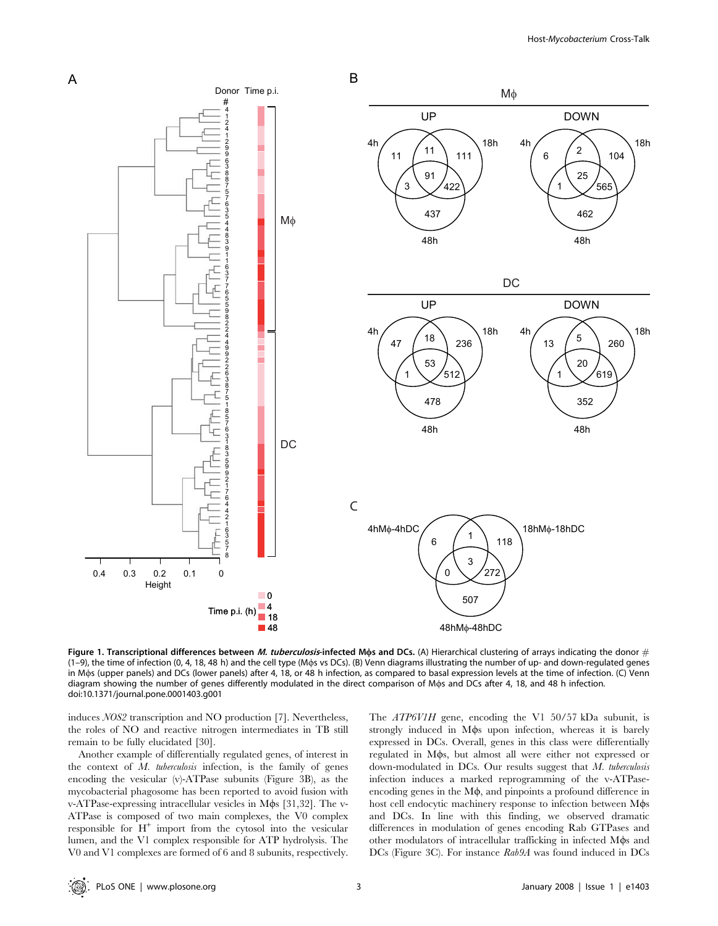

Figure 1. Transcriptional differences between M. tuberculosis-infected Mos and DCs. (A) Hierarchical clustering of arrays indicating the donor  $#$ (1–9), the time of infection (0, 4, 18, 48 h) and the cell type (Mws vs DCs). (B) Venn diagrams illustrating the number of up- and down-regulated genes in Mos (upper panels) and DCs (lower panels) after 4, 18, or 48 h infection, as compared to basal expression levels at the time of infection. (C) Venn diagram showing the number of genes differently modulated in the direct comparison of Mws and DCs after 4, 18, and 48 h infection. doi:10.1371/journal.pone.0001403.g001

induces NOS2 transcription and NO production [7]. Nevertheless, the roles of NO and reactive nitrogen intermediates in TB still remain to be fully elucidated [30].

Another example of differentially regulated genes, of interest in the context of  $M$ . tuberculosis infection, is the family of genes encoding the vesicular (v)-ATPase subunits (Figure 3B), as the mycobacterial phagosome has been reported to avoid fusion with v-ATPase-expressing intracellular vesicles in M $\phi$ s [31,32]. The v-ATPase is composed of two main complexes, the V0 complex responsible for  $H^+$  import from the cytosol into the vesicular lumen, and the V1 complex responsible for ATP hydrolysis. The V0 and V1 complexes are formed of 6 and 8 subunits, respectively.

The ATP6V1H gene, encoding the V1 50/57 kDa subunit, is strongly induced in Mos upon infection, whereas it is barely expressed in DCs. Overall, genes in this class were differentially regulated in M $\phi$ s, but almost all were either not expressed or down-modulated in DCs. Our results suggest that  $M$ . tuberculosis infection induces a marked reprogramming of the v-ATPaseencoding genes in the  $M\phi$ , and pinpoints a profound difference in host cell endocytic machinery response to infection between M $\phi$ s and DCs. In line with this finding, we observed dramatic differences in modulation of genes encoding Rab GTPases and other modulators of intracellular trafficking in infected M $\phi$ s and DCs (Figure 3C). For instance Rab9A was found induced in DCs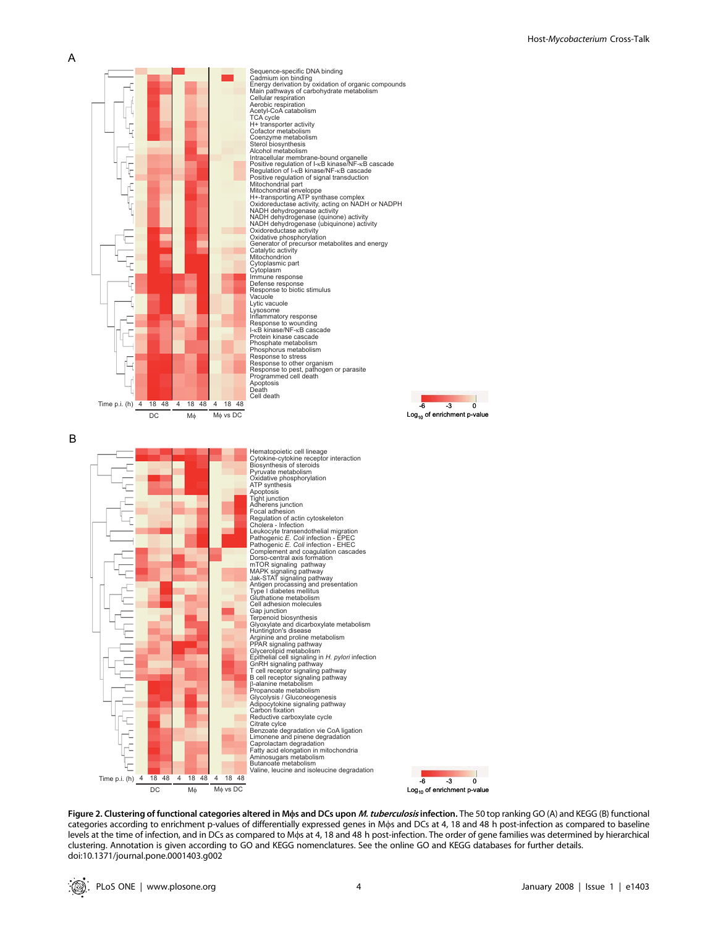

Sequence-specific DNA binding Cadmium ion binding<br>Energy derivation by oxidation of organic compounds<br>Main pathways of carbohydrate metabolism<br>Cellular respiration<br>Aerobic respiration<br>TCA cycle<br>H+ transporter activity Cofactor metabolism<br>Coenzyme metabolism<br>Sterol biosynthesis<br>Alcohol metabolism<br>Intracellular membrane-bound organelle<br>Positive regulation of I-xB kinase/NF-xB cascade<br>Regulation of I-xB kinase/NF-xB cascade<br>Positive regula Positive regulation of signal transduction<br>Mitochondrial part Mitochondrial enveloppe H+-transporting ATP synthase complex Oxidoreductase activity, acting on NADH or NADPH NADH dehydrogenase activity NADH dehydrogenase (quinone) activity NADH dehydrogenase (ubiquinone) activity Oxidoreductase activity Oxidative phosphorylation Generator of precursor metabolites and energy Catalytic activity Mitochondrion Cytoplasmic part Cytoplasm Immune response Defense response Response to biotic stimulus Vacuole Lytic vacuole Lysosome Inflammatory response Response to wounding I-κB kinase/NF-κB cascade Protein kinase cascade Phosphate metabolism Phosphorus metabolism Response to stress Response to other organism Response to pest, pathogen or parasite Programmed cell death Apoptosis Death Cell death



B



-6 -3 0 Log10 of enrichment p-value

 $\mathbf{r}$ 

doi:10.1371/journal.pone.0001403.g002

Figure 2. Clustering of functional categories altered in Mos and DCs upon M. tuberculosis infection. The 50 top ranking GO (A) and KEGG (B) functional categories according to enrichment p-values of differentially expressed genes in Mws and DCs at 4, 18 and 48 h post-infection as compared to baseline levels at the time of infection, and in DCs as compared to Mws at 4, 18 and 48 h post-infection. The order of gene families was determined by hierarchical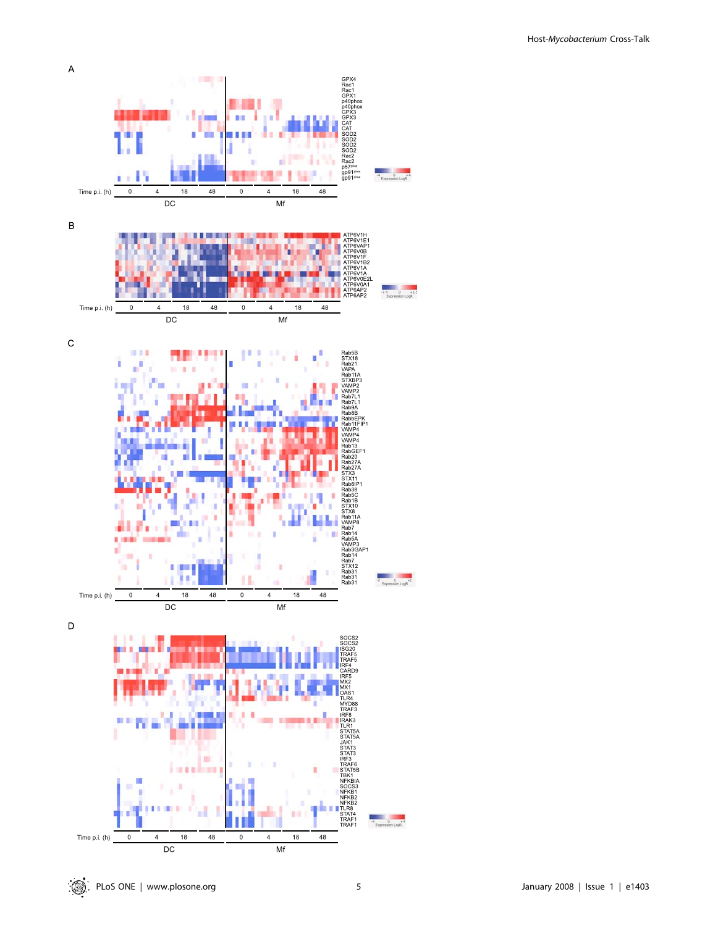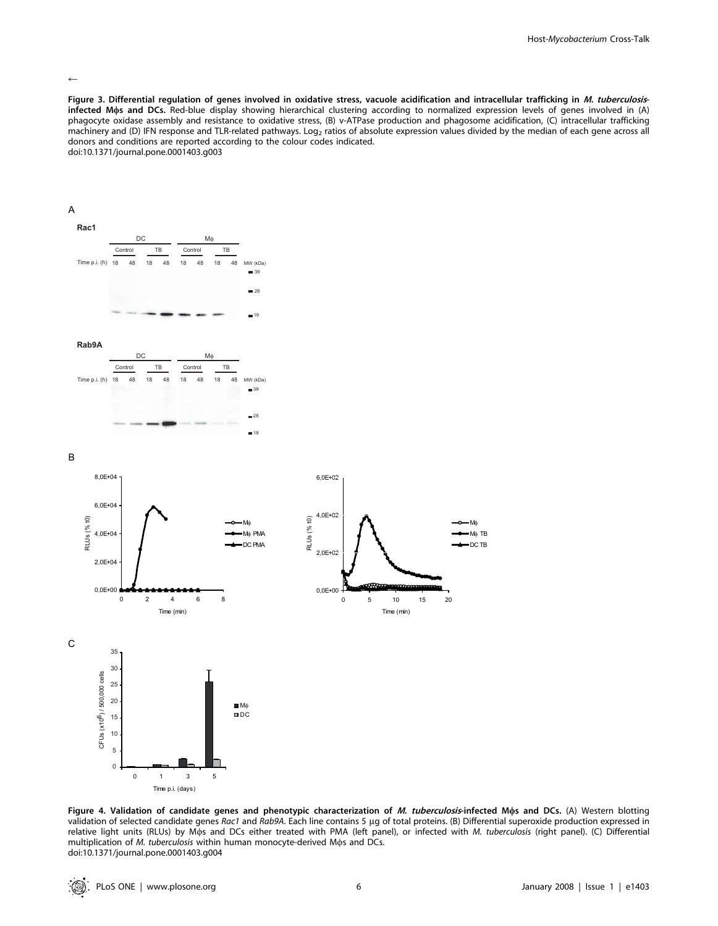#### $\leftarrow$

Figure 3. Differential regulation of genes involved in oxidative stress, vacuole acidification and intracellular trafficking in M. tuberculosisinfected Mws and DCs. Red-blue display showing hierarchical clustering according to normalized expression levels of genes involved in (A) phagocyte oxidase assembly and resistance to oxidative stress, (B) v-ATPase production and phagosome acidification, (C) intracellular trafficking machinery and (D) IFN response and TLR-related pathways. Log<sub>2</sub> ratios of absolute expression values divided by the median of each gene across all donors and conditions are reported according to the colour codes indicated. doi:10.1371/journal.pone.0001403.g003

# A









B



Figure 4. Validation of candidate genes and phenotypic characterization of M. tuberculosis-infected Mos and DCs. (A) Western blotting validation of selected candidate genes Rac1 and Rab9A. Each line contains 5 µg of total proteins. (B) Differential superoxide production expressed in relative light units (RLUs) by Mos and DCs either treated with PMA (left panel), or infected with M. tuberculosis (right panel). (C) Differential multiplication of M. tuberculosis within human monocyte-derived Mos and DCs. doi:10.1371/journal.pone.0001403.g004

Time p.i. (days)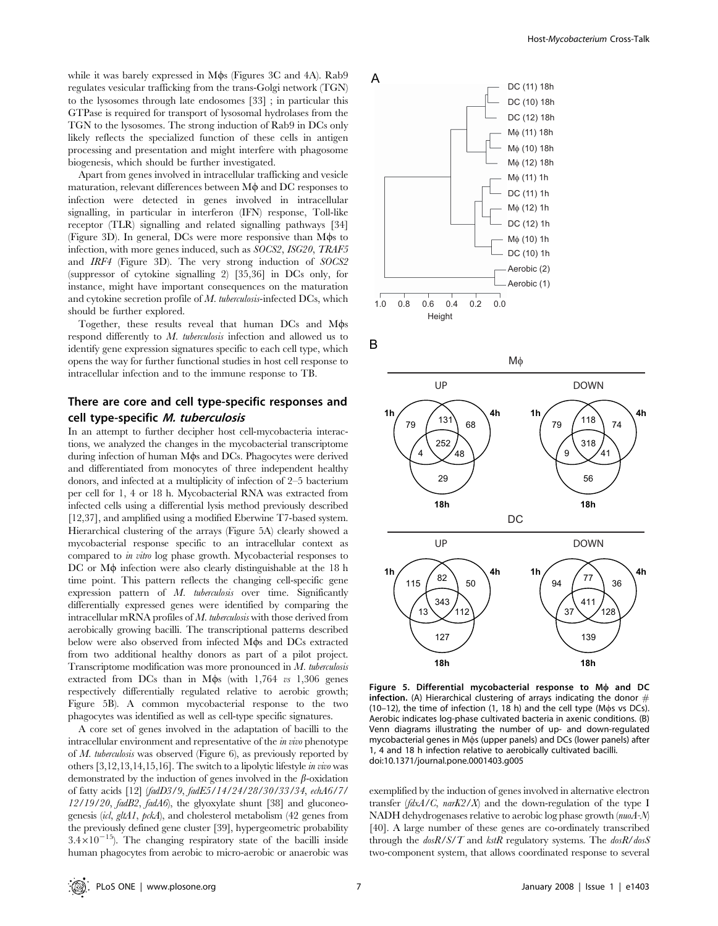while it was barely expressed in M $\phi$ s (Figures 3C and 4A). Rab9 regulates vesicular trafficking from the trans-Golgi network (TGN) to the lysosomes through late endosomes [33] ; in particular this GTPase is required for transport of lysosomal hydrolases from the TGN to the lysosomes. The strong induction of Rab9 in DCs only likely reflects the specialized function of these cells in antigen processing and presentation and might interfere with phagosome biogenesis, which should be further investigated.

Apart from genes involved in intracellular trafficking and vesicle maturation, relevant differences between  $M\phi$  and DC responses to infection were detected in genes involved in intracellular signalling, in particular in interferon (IFN) response, Toll-like receptor (TLR) signalling and related signalling pathways [34] (Figure 3D). In general, DCs were more responsive than M $\phi$ s to infection, with more genes induced, such as SOCS2, ISG20, TRAF5 and IRF4 (Figure 3D). The very strong induction of SOCS2 (suppressor of cytokine signalling 2) [35,36] in DCs only, for instance, might have important consequences on the maturation and cytokine secretion profile of  $M$ . tuberculosis-infected DCs, which should be further explored.

Together, these results reveal that human DCs and M $\phi$ s respond differently to M. tuberculosis infection and allowed us to identify gene expression signatures specific to each cell type, which opens the way for further functional studies in host cell response to intracellular infection and to the immune response to TB.

## There are core and cell type-specific responses and cell type-specific M. tuberculosis

In an attempt to further decipher host cell-mycobacteria interactions, we analyzed the changes in the mycobacterial transcriptome during infection of human M $\phi$ s and DCs. Phagocytes were derived and differentiated from monocytes of three independent healthy donors, and infected at a multiplicity of infection of 2–5 bacterium per cell for 1, 4 or 18 h. Mycobacterial RNA was extracted from infected cells using a differential lysis method previously described [12,37], and amplified using a modified Eberwine T7-based system. Hierarchical clustering of the arrays (Figure 5A) clearly showed a mycobacterial response specific to an intracellular context as compared to in vitro log phase growth. Mycobacterial responses to  $DC$  or  $M\phi$  infection were also clearly distinguishable at the 18 h time point. This pattern reflects the changing cell-specific gene expression pattern of M. tuberculosis over time. Significantly differentially expressed genes were identified by comparing the intracellular mRNA profiles of M. tuberculosis with those derived from aerobically growing bacilli. The transcriptional patterns described below were also observed from infected M $\phi$ s and DCs extracted from two additional healthy donors as part of a pilot project. Transcriptome modification was more pronounced in M. tuberculosis extracted from DCs than in M $\phi$ s (with 1,764 vs 1,306 genes respectively differentially regulated relative to aerobic growth; Figure 5B). A common mycobacterial response to the two phagocytes was identified as well as cell-type specific signatures.

A core set of genes involved in the adaptation of bacilli to the intracellular environment and representative of the in vivo phenotype of M. tuberculosis was observed (Figure 6), as previously reported by others [3,12,13,14,15,16]. The switch to a lipolytic lifestyle in vivo was demonstrated by the induction of genes involved in the  $\beta$ -oxidation of fatty acids [12] (fadD3/9, fadE5/14/24/28/30/33/34, echA6/7/ 12/19/20, fadB2, fadA6), the glyoxylate shunt [38] and gluconeogenesis (icl, gltA1, pckA), and cholesterol metabolism (42 genes from the previously defined gene cluster [39], hypergeometric probability  $3.4\times10^{-15}$ ). The changing respiratory state of the bacilli inside human phagocytes from aerobic to micro-aerobic or anaerobic was



B



Figure 5. Differential mycobacterial response to  $M\phi$  and DC infection. (A) Hierarchical clustering of arrays indicating the donor  $#$ (10–12), the time of infection (1, 18 h) and the cell type (M $\phi$ s vs DCs). Aerobic indicates log-phase cultivated bacteria in axenic conditions. (B) Venn diagrams illustrating the number of up- and down-regulated mycobacterial genes in Mos (upper panels) and DCs (lower panels) after 1, 4 and 18 h infection relative to aerobically cultivated bacilli. doi:10.1371/journal.pone.0001403.g005

exemplified by the induction of genes involved in alternative electron transfer  $(fdxA/C, \text{nar }KZ/X)$  and the down-regulation of the type I NADH dehydrogenases relative to aerobic log phase growth (nuoA-N) [40]. A large number of these genes are co-ordinately transcribed through the  $dosh/S/T$  and  $kstR$  regulatory systems. The  $dosh/dosS$ two-component system, that allows coordinated response to several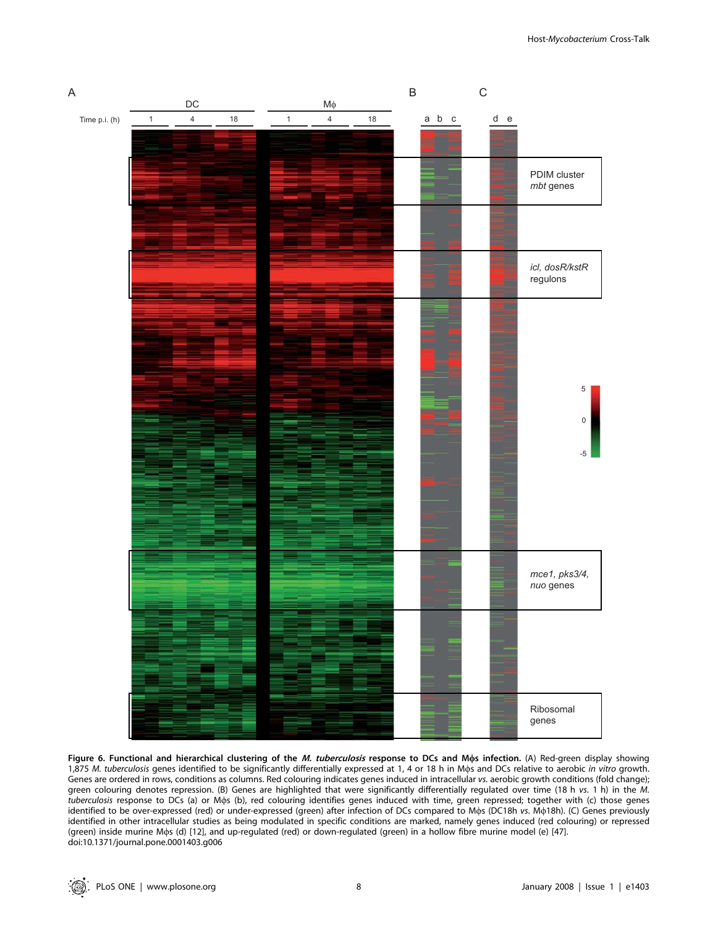

Figure 6. Functional and hierarchical clustering of the M. tuberculosis response to DCs and Mos infection. (A) Red-green display showing 1,875 M. tuberculosis genes identified to be significantly differentially expressed at 1, 4 or 18 h in Mos and DCs relative to aerobic in vitro growth. Genes are ordered in rows, conditions as columns. Red colouring indicates genes induced in intracellular vs. aerobic growth conditions (fold change); green colouring denotes repression. (B) Genes are highlighted that were significantly differentially regulated over time (18 h vs. 1 h) in the M. tuberculosis response to DCs (a) or Mws (b), red colouring identifies genes induced with time, green repressed; together with (c) those genes identified to be over-expressed (red) or under-expressed (green) after infection of DCs compared to Mos (DC18h vs. Mo18h). (C) Genes previously identified in other intracellular studies as being modulated in specific conditions are marked, namely genes induced (red colouring) or repressed (green) inside murine Mws (d) [12], and up-regulated (red) or down-regulated (green) in a hollow fibre murine model (e) [47]. doi:10.1371/journal.pone.0001403.g006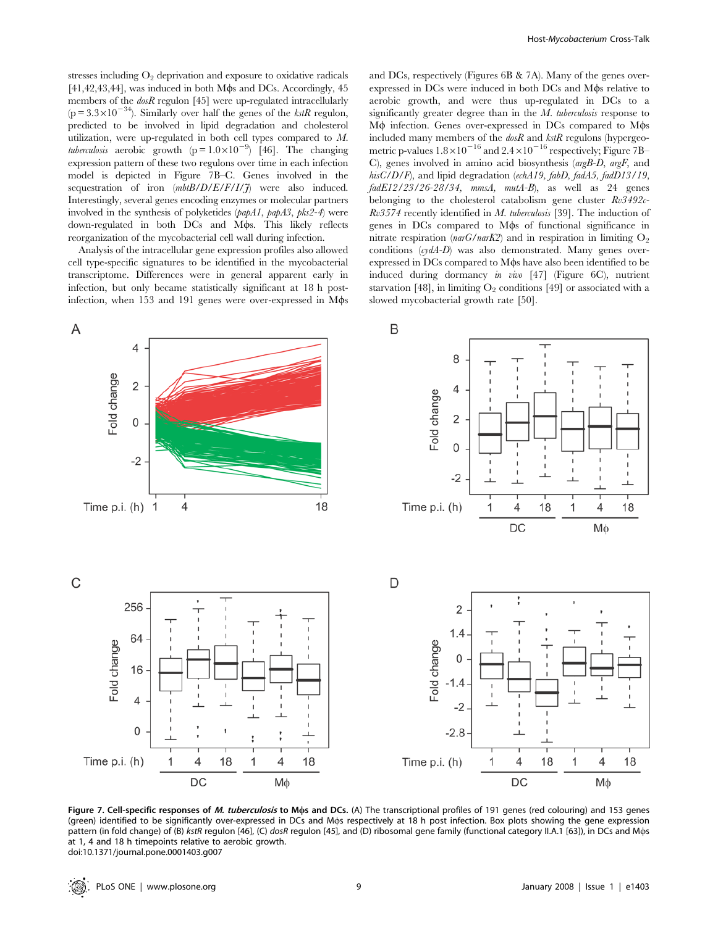stresses including  $O_2$  deprivation and exposure to oxidative radicals  $[41,42,43,44]$ , was induced in both M $\phi$ s and DCs. Accordingly, 45 members of the  $\text{dos}R$  regulon [45] were up-regulated intracellularly  $(p=3.3\times10^{-34})$ . Similarly over half the genes of the *kstR* regulon, predicted to be involved in lipid degradation and cholesterol utilization, were up-regulated in both cell types compared to M. tuberculosis aerobic growth  $(p=1.0\times10^{-9})$  [46]. The changing expression pattern of these two regulons over time in each infection model is depicted in Figure 7B–C. Genes involved in the sequestration of iron  $(mbtB/D/E/F/1/7)$  were also induced. Interestingly, several genes encoding enzymes or molecular partners involved in the synthesis of polyketides (papA1, papA3, pks2-4) were down-regulated in both DCs and M $\phi$ s. This likely reflects reorganization of the mycobacterial cell wall during infection.

Analysis of the intracellular gene expression profiles also allowed cell type-specific signatures to be identified in the mycobacterial transcriptome. Differences were in general apparent early in infection, but only became statistically significant at 18 h postinfection, when 153 and 191 genes were over-expressed in M $\phi$ s and DCs, respectively (Figures 6B & 7A). Many of the genes overexpressed in DCs were induced in both DCs and M $\phi$ s relative to aerobic growth, and were thus up-regulated in DCs to a significantly greater degree than in the  $M$ . tuberculosis response to  $M\phi$  infection. Genes over-expressed in DCs compared to  $M\phi s$ included many members of the  $\text{dos}R$  and  $\text{ks}tR$  regulons (hypergeometric p-values  $1.8\times10^{-16}$  and  $2.4\times10^{-16}$  respectively; Figure 7B– C), genes involved in amino acid biosynthesis (argB-D, argF, and hisC/D/F), and lipid degradation (echA19, fabD, fadA5, fadD13/19,  $fadE12/23/26-28/34$ ,  $mmsA$ ,  $mutA-B$ ), as well as 24 genes belonging to the cholesterol catabolism gene cluster  $Rv3492c$ - $Rv3574$  recently identified in M. tuberculosis [39]. The induction of genes in DCs compared to M<sub>os</sub> of functional significance in nitrate respiration ( $narG/narK2$ ) and in respiration in limiting  $O_2$ conditions (cydA-D) was also demonstrated. Many genes overexpressed in DCs compared to M $\phi$ s have also been identified to be induced during dormancy in vivo [47] (Figure 6C), nutrient starvation [48], in limiting  $O_2$  conditions [49] or associated with a slowed mycobacterial growth rate [50].



Figure 7. Cell-specific responses of M. tuberculosis to Mos and DCs. (A) The transcriptional profiles of 191 genes (red colouring) and 153 genes (green) identified to be significantly over-expressed in DCs and Mws respectively at 18 h post infection. Box plots showing the gene expression pattern (in fold change) of (B) kstR regulon [46], (C) dosR regulon [45], and (D) ribosomal gene family (functional category II.A.1 [63]), in DCs and Mos at 1, 4 and 18 h timepoints relative to aerobic growth. doi:10.1371/journal.pone.0001403.g007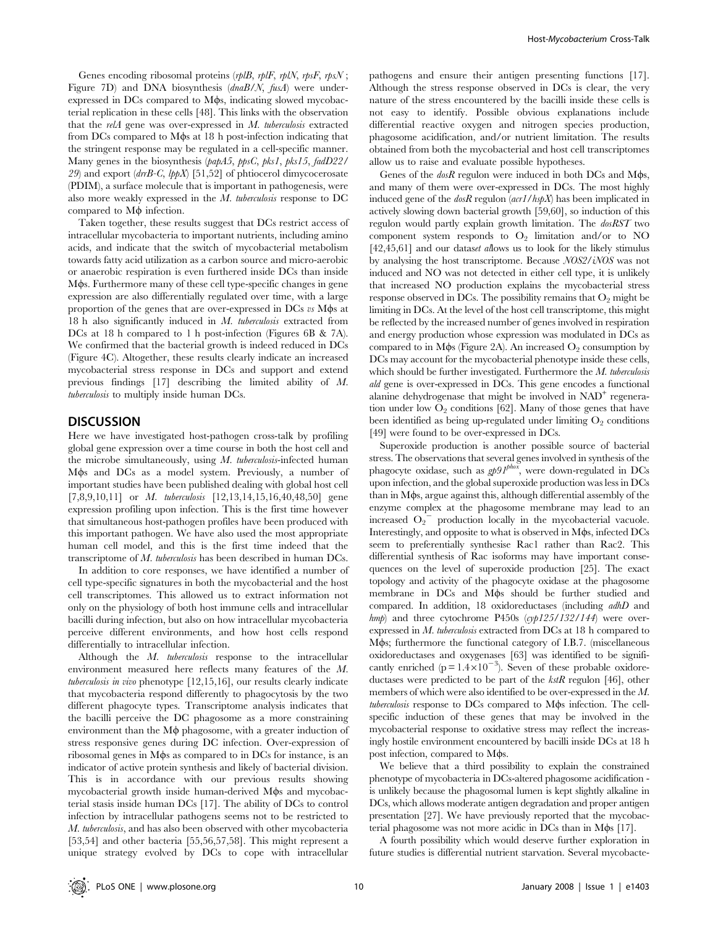Genes encoding ribosomal proteins  $(rplB, rplF, rplN, rpsF, rpsN$ ; Figure 7D) and DNA biosynthesis (dnaB/N, fusA) were underexpressed in DCs compared to  $M\phi s$ , indicating slowed mycobacterial replication in these cells [48]. This links with the observation that the relA gene was over-expressed in M. tuberculosis extracted from DCs compared to M $\phi$ s at 18 h post-infection indicating that the stringent response may be regulated in a cell-specific manner. Many genes in the biosynthesis (papA5, ppsC, pks1, pks15, fadD22/ 29) and export  $(drB-C, lppX)$  [51,52] of phtiocerol dimycocerosate (PDIM), a surface molecule that is important in pathogenesis, were also more weakly expressed in the M. tuberculosis response to DC compared to  $M\phi$  infection.

Taken together, these results suggest that DCs restrict access of intracellular mycobacteria to important nutrients, including amino acids, and indicate that the switch of mycobacterial metabolism towards fatty acid utilization as a carbon source and micro-aerobic or anaerobic respiration is even furthered inside DCs than inside M $\phi$ s. Furthermore many of these cell type-specific changes in gene expression are also differentially regulated over time, with a large proportion of the genes that are over-expressed in DCs vs M<sub>os</sub> at 18 h also significantly induced in M. tuberculosis extracted from DCs at 18 h compared to 1 h post-infection (Figures 6B & 7A). We confirmed that the bacterial growth is indeed reduced in DCs (Figure 4C). Altogether, these results clearly indicate an increased mycobacterial stress response in DCs and support and extend previous findings [17] describing the limited ability of M. tuberculosis to multiply inside human DCs.

#### **DISCUSSION**

Here we have investigated host-pathogen cross-talk by profiling global gene expression over a time course in both the host cell and the microbe simultaneously, using  $M$ . tuberculosis-infected human Mos and DCs as a model system. Previously, a number of important studies have been published dealing with global host cell [7,8,9,10,11] or *M. tuberculosis* [12,13,14,15,16,40,48,50] gene expression profiling upon infection. This is the first time however that simultaneous host-pathogen profiles have been produced with this important pathogen. We have also used the most appropriate human cell model, and this is the first time indeed that the transcriptome of M. tuberculosis has been described in human DCs.

In addition to core responses, we have identified a number of cell type-specific signatures in both the mycobacterial and the host cell transcriptomes. This allowed us to extract information not only on the physiology of both host immune cells and intracellular bacilli during infection, but also on how intracellular mycobacteria perceive different environments, and how host cells respond differentially to intracellular infection.

Although the M. tuberculosis response to the intracellular environment measured here reflects many features of the M. tuberculosis in vivo phenotype [12,15,16], our results clearly indicate that mycobacteria respond differently to phagocytosis by the two different phagocyte types. Transcriptome analysis indicates that the bacilli perceive the DC phagosome as a more constraining environment than the  $M\phi$  phagosome, with a greater induction of stress responsive genes during DC infection. Over-expression of ribosomal genes in M $\phi$ s as compared to in DCs for instance, is an indicator of active protein synthesis and likely of bacterial division. This is in accordance with our previous results showing mycobacterial growth inside human-derived M $\phi$ s and mycobacterial stasis inside human DCs [17]. The ability of DCs to control infection by intracellular pathogens seems not to be restricted to M. tuberculosis, and has also been observed with other mycobacteria [53,54] and other bacteria [55,56,57,58]. This might represent a unique strategy evolved by DCs to cope with intracellular

pathogens and ensure their antigen presenting functions [17]. Although the stress response observed in DCs is clear, the very nature of the stress encountered by the bacilli inside these cells is not easy to identify. Possible obvious explanations include differential reactive oxygen and nitrogen species production, phagosome acidification, and/or nutrient limitation. The results obtained from both the mycobacterial and host cell transcriptomes allow us to raise and evaluate possible hypotheses.

Genes of the  $\text{dos}R$  regulon were induced in both DCs and M $\phi$ s, and many of them were over-expressed in DCs. The most highly induced gene of the  $\text{dosR}$  regulon  $(\text{acr1}/\text{hspX})$  has been implicated in actively slowing down bacterial growth [59,60], so induction of this regulon would partly explain growth limitation. The dosRST two component system responds to  $O_2$  limitation and/or to NO [42,45,61] and our dataset allows us to look for the likely stimulus by analysing the host transcriptome. Because NOS2/iNOS was not induced and NO was not detected in either cell type, it is unlikely that increased NO production explains the mycobacterial stress response observed in DCs. The possibility remains that  $O_2$  might be limiting in DCs. At the level of the host cell transcriptome, this might be reflected by the increased number of genes involved in respiration and energy production whose expression was modulated in DCs as compared to in M $\phi$ s (Figure 2A). An increased  $O_2$  consumption by DCs may account for the mycobacterial phenotype inside these cells, which should be further investigated. Furthermore the  $M$ . tuberculosis ald gene is over-expressed in DCs. This gene encodes a functional alanine dehydrogenase that might be involved in  $NAD<sup>+</sup>$  regeneration under low  $O_2$  conditions [62]. Many of those genes that have been identified as being up-regulated under limiting  $O_2$  conditions [49] were found to be over-expressed in DCs.

Superoxide production is another possible source of bacterial stress. The observations that several genes involved in synthesis of the phagocyte oxidase, such as  $g p \theta I^{ph\alpha}$ , were down-regulated in DCs upon infection, and the global superoxide production was less in DCs  $t$ han in M $\phi$ s, argue against this, although differential assembly of the enzyme complex at the phagosome membrane may lead to an increased  $O_2$ <sup>-</sup> production locally in the mycobacterial vacuole. Interestingly, and opposite to what is observed in  $M\phi s$ , infected DCs seem to preferentially synthesise Rac1 rather than Rac2. This differential synthesis of Rac isoforms may have important consequences on the level of superoxide production [25]. The exact topology and activity of the phagocyte oxidase at the phagosome membrane in DCs and M $\phi$ s should be further studied and compared. In addition, 18 oxidoreductases (including adhD and  $hmp$ ) and three cytochrome P450s (cyp125/132/144) were overexpressed in M. tuberculosis extracted from DCs at 18 h compared to Mos; furthermore the functional category of I.B.7. (miscellaneous oxidoreductases and oxygenases [63] was identified to be significantly enriched ( $p = 1.4 \times 10^{-3}$ ). Seven of these probable oxidoreductases were predicted to be part of the kstR regulon [46], other members of which were also identified to be over-expressed in the M.  *response to*  $DCs$  *compared to*  $M\phi s$  *infection. The cell*specific induction of these genes that may be involved in the mycobacterial response to oxidative stress may reflect the increasingly hostile environment encountered by bacilli inside DCs at 18 h post infection, compared to M $\phi$ s.

We believe that a third possibility to explain the constrained phenotype of mycobacteria in DCs-altered phagosome acidification is unlikely because the phagosomal lumen is kept slightly alkaline in DCs, which allows moderate antigen degradation and proper antigen presentation [27]. We have previously reported that the mycobacterial phagosome was not more acidic in DCs than in  $M\phi s$  [17].

A fourth possibility which would deserve further exploration in future studies is differential nutrient starvation. Several mycobacte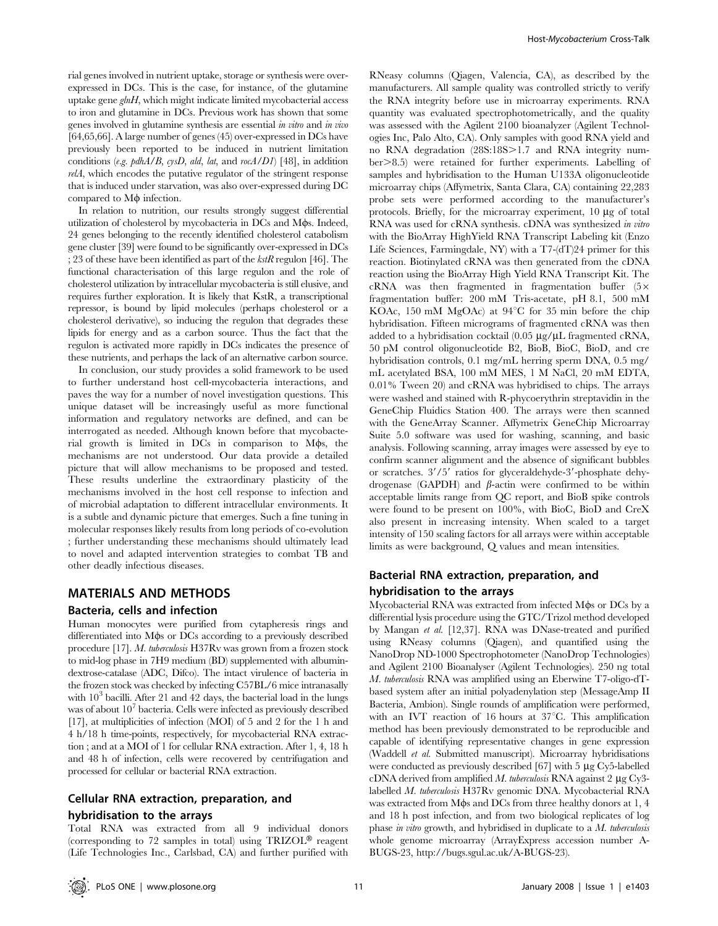rial genes involved in nutrient uptake, storage or synthesis were overexpressed in DCs. This is the case, for instance, of the glutamine uptake gene  $ghH$ , which might indicate limited mycobacterial access to iron and glutamine in DCs. Previous work has shown that some genes involved in glutamine synthesis are essential in vitro and in vivo [64,65,66]. A large number of genes (45) over-expressed in DCs have previously been reported to be induced in nutrient limitation conditions (e.g.  $pdhA/B$ ,  $cysD$ , ald, lat, and roc $A/DI$ ) [48], in addition relA, which encodes the putative regulator of the stringent response that is induced under starvation, was also over-expressed during DC compared to  $M\phi$  infection.

In relation to nutrition, our results strongly suggest differential utilization of cholesterol by mycobacteria in DCs and M $\phi$ s. Indeed, 24 genes belonging to the recently identified cholesterol catabolism gene cluster [39] were found to be significantly over-expressed in DCs ; 23 of these have been identified as part of the  $kstR$  regulon [46]. The functional characterisation of this large regulon and the role of cholesterol utilization by intracellular mycobacteria is still elusive, and requires further exploration. It is likely that KstR, a transcriptional repressor, is bound by lipid molecules (perhaps cholesterol or a cholesterol derivative), so inducing the regulon that degrades these lipids for energy and as a carbon source. Thus the fact that the regulon is activated more rapidly in DCs indicates the presence of these nutrients, and perhaps the lack of an alternative carbon source.

In conclusion, our study provides a solid framework to be used to further understand host cell-mycobacteria interactions, and paves the way for a number of novel investigation questions. This unique dataset will be increasingly useful as more functional information and regulatory networks are defined, and can be interrogated as needed. Although known before that mycobacterial growth is limited in DCs in comparison to M $\phi$ s, the mechanisms are not understood. Our data provide a detailed picture that will allow mechanisms to be proposed and tested. These results underline the extraordinary plasticity of the mechanisms involved in the host cell response to infection and of microbial adaptation to different intracellular environments. It is a subtle and dynamic picture that emerges. Such a fine tuning in molecular responses likely results from long periods of co-evolution ; further understanding these mechanisms should ultimately lead to novel and adapted intervention strategies to combat TB and other deadly infectious diseases.

### MATERIALS AND METHODS

#### Bacteria, cells and infection

Human monocytes were purified from cytapheresis rings and differentiated into M $\phi$ s or DCs according to a previously described procedure [17]. M. tuberculosis H37Rv was grown from a frozen stock to mid-log phase in 7H9 medium (BD) supplemented with albumindextrose-catalase (ADC, Difco). The intact virulence of bacteria in the frozen stock was checked by infecting C57BL/6 mice intranasally with  $10<sup>3</sup>$  bacilli. After 21 and 42 days, the bacterial load in the lungs was of about  $10<sup>7</sup>$  bacteria. Cells were infected as previously described [17], at multiplicities of infection (MOI) of 5 and 2 for the 1 h and 4 h/18 h time-points, respectively, for mycobacterial RNA extraction ; and at a MOI of 1 for cellular RNA extraction. After 1, 4, 18 h and 48 h of infection, cells were recovered by centrifugation and processed for cellular or bacterial RNA extraction.

## Cellular RNA extraction, preparation, and hybridisation to the arrays

Total RNA was extracted from all 9 individual donors (corresponding to 72 samples in total) using  $TRIZOL^{\circledR}$  reagent (Life Technologies Inc., Carlsbad, CA) and further purified with

RNeasy columns (Qiagen, Valencia, CA), as described by the manufacturers. All sample quality was controlled strictly to verify the RNA integrity before use in microarray experiments. RNA quantity was evaluated spectrophotometrically, and the quality was assessed with the Agilent 2100 bioanalyzer (Agilent Technologies Inc, Palo Alto, CA). Only samples with good RNA yield and no RNA degradation (28S:18S>1.7 and RNA integrity number>8.5) were retained for further experiments. Labelling of samples and hybridisation to the Human U133A oligonucleotide microarray chips (Affymetrix, Santa Clara, CA) containing 22,283 probe sets were performed according to the manufacturer's protocols. Briefly, for the microarray experiment,  $10 \mu$ g of total RNA was used for cRNA synthesis. cDNA was synthesized in vitro with the BioArray HighYield RNA Transcript Labeling kit (Enzo Life Sciences, Farmingdale, NY) with a T7-(dT)24 primer for this reaction. Biotinylated cRNA was then generated from the cDNA reaction using the BioArray High Yield RNA Transcript Kit. The  $cRNA$  was then fragmented in fragmentation buffer (5 $\times$ fragmentation buffer: 200 mM Tris-acetate, pH 8.1, 500 mM KOAc, 150 mM MgOAc) at  $94^{\circ}$ C for 35 min before the chip hybridisation. Fifteen micrograms of fragmented cRNA was then added to a hybridisation cocktail  $(0.05 \mu g/\mu L)$  fragmented cRNA, 50 pM control oligonucleotide B2, BioB, BioC, BioD, and cre hybridisation controls, 0.1 mg/mL herring sperm DNA, 0.5 mg/ mL acetylated BSA, 100 mM MES, 1 M NaCl, 20 mM EDTA, 0.01% Tween 20) and cRNA was hybridised to chips. The arrays were washed and stained with R-phycoerythrin streptavidin in the GeneChip Fluidics Station 400. The arrays were then scanned with the GeneArray Scanner. Affymetrix GeneChip Microarray Suite 5.0 software was used for washing, scanning, and basic analysis. Following scanning, array images were assessed by eye to confirm scanner alignment and the absence of significant bubbles or scratches.  $3'/5'$  ratios for glyceraldehyde-3'-phosphate dehydrogenase (GAPDH) and  $\beta$ -actin were confirmed to be within acceptable limits range from QC report, and BioB spike controls were found to be present on 100%, with BioC, BioD and CreX also present in increasing intensity. When scaled to a target intensity of 150 scaling factors for all arrays were within acceptable limits as were background, Q values and mean intensities.

## Bacterial RNA extraction, preparation, and hybridisation to the arrays

Mycobacterial RNA was extracted from infected M $\phi$ s or DCs by a differential lysis procedure using the GTC/Trizol method developed by Mangan et al. [12,37]. RNA was DNase-treated and purified using RNeasy columns (Qiagen), and quantified using the NanoDrop ND-1000 Spectrophotometer (NanoDrop Technologies) and Agilent 2100 Bioanalyser (Agilent Technologies). 250 ng total M. tuberculosis RNA was amplified using an Eberwine T7-oligo-dTbased system after an initial polyadenylation step (MessageAmp II Bacteria, Ambion). Single rounds of amplification were performed, with an IVT reaction of 16 hours at  $37^{\circ}$ C. This amplification method has been previously demonstrated to be reproducible and capable of identifying representative changes in gene expression (Waddell et al. Submitted manuscript). Microarray hybridisations were conducted as previously described  $[67]$  with 5  $\mu$ g Cy5-labelled cDNA derived from amplified M. tuberculosis RNA against 2  $\mu$ g Cy3labelled M. tuberculosis H37Rv genomic DNA. Mycobacterial RNA was extracted from M $\phi$ s and DCs from three healthy donors at 1, 4 and 18 h post infection, and from two biological replicates of log phase in vitro growth, and hybridised in duplicate to a M. tuberculosis whole genome microarray (ArrayExpress accession number A-BUGS-23, http://bugs.sgul.ac.uk/A-BUGS-23).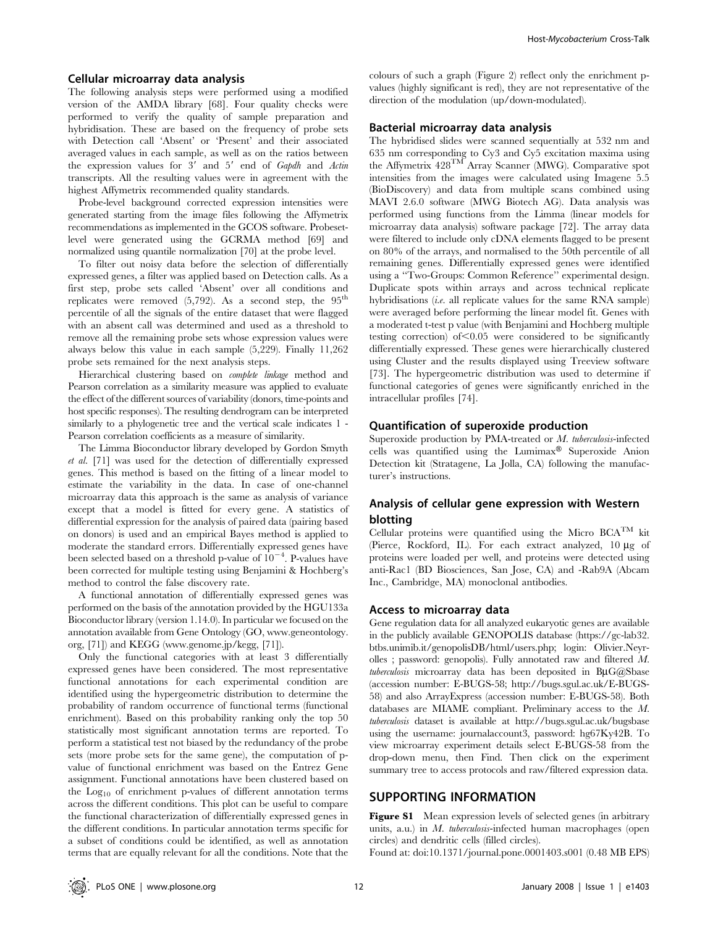#### Cellular microarray data analysis

The following analysis steps were performed using a modified version of the AMDA library [68]. Four quality checks were performed to verify the quality of sample preparation and hybridisation. These are based on the frequency of probe sets with Detection call 'Absent' or 'Present' and their associated averaged values in each sample, as well as on the ratios between the expression values for  $3'$  and  $5'$  end of Gapdh and Actin transcripts. All the resulting values were in agreement with the highest Affymetrix recommended quality standards.

Probe-level background corrected expression intensities were generated starting from the image files following the Affymetrix recommendations as implemented in the GCOS software. Probesetlevel were generated using the GCRMA method [69] and normalized using quantile normalization [70] at the probe level.

To filter out noisy data before the selection of differentially expressed genes, a filter was applied based on Detection calls. As a first step, probe sets called 'Absent' over all conditions and replicates were removed  $(5,792)$ . As a second step, the  $95<sup>th</sup>$ percentile of all the signals of the entire dataset that were flagged with an absent call was determined and used as a threshold to remove all the remaining probe sets whose expression values were always below this value in each sample (5,229). Finally 11,262 probe sets remained for the next analysis steps.

Hierarchical clustering based on complete linkage method and Pearson correlation as a similarity measure was applied to evaluate the effect of the different sources of variability (donors, time-points and host specific responses). The resulting dendrogram can be interpreted similarly to a phylogenetic tree and the vertical scale indicates 1 - Pearson correlation coefficients as a measure of similarity.

The Limma Bioconductor library developed by Gordon Smyth et al. [71] was used for the detection of differentially expressed genes. This method is based on the fitting of a linear model to estimate the variability in the data. In case of one-channel microarray data this approach is the same as analysis of variance except that a model is fitted for every gene. A statistics of differential expression for the analysis of paired data (pairing based on donors) is used and an empirical Bayes method is applied to moderate the standard errors. Differentially expressed genes have been selected based on a threshold p-value of  $10^{-4}$ . P-values have been corrected for multiple testing using Benjamini & Hochberg's method to control the false discovery rate.

A functional annotation of differentially expressed genes was performed on the basis of the annotation provided by the HGU133a Bioconductor library (version 1.14.0). In particular we focused on the annotation available from Gene Ontology (GO, www.geneontology. org, [71]) and KEGG (www.genome.jp/kegg, [71]).

Only the functional categories with at least 3 differentially expressed genes have been considered. The most representative functional annotations for each experimental condition are identified using the hypergeometric distribution to determine the probability of random occurrence of functional terms (functional enrichment). Based on this probability ranking only the top 50 statistically most significant annotation terms are reported. To perform a statistical test not biased by the redundancy of the probe sets (more probe sets for the same gene), the computation of pvalue of functional enrichment was based on the Entrez Gene assignment. Functional annotations have been clustered based on the Log10 of enrichment p-values of different annotation terms across the different conditions. This plot can be useful to compare the functional characterization of differentially expressed genes in the different conditions. In particular annotation terms specific for a subset of conditions could be identified, as well as annotation terms that are equally relevant for all the conditions. Note that the

colours of such a graph (Figure 2) reflect only the enrichment pvalues (highly significant is red), they are not representative of the direction of the modulation (up/down-modulated).

#### Bacterial microarray data analysis

The hybridised slides were scanned sequentially at 532 nm and 635 nm corresponding to Cy3 and Cy5 excitation maxima using the Affymetrix 428TM Array Scanner (MWG). Comparative spot intensities from the images were calculated using Imagene 5.5 (BioDiscovery) and data from multiple scans combined using MAVI 2.6.0 software (MWG Biotech AG). Data analysis was performed using functions from the Limma (linear models for microarray data analysis) software package [72]. The array data were filtered to include only cDNA elements flagged to be present on 80% of the arrays, and normalised to the 50th percentile of all remaining genes. Differentially expressed genes were identified using a ''Two-Groups: Common Reference'' experimental design. Duplicate spots within arrays and across technical replicate hybridisations (i.e. all replicate values for the same RNA sample) were averaged before performing the linear model fit. Genes with a moderated t-test p value (with Benjamini and Hochberg multiple testing correction) of  $< 0.05$  were considered to be significantly differentially expressed. These genes were hierarchically clustered using Cluster and the results displayed using Treeview software [73]. The hypergeometric distribution was used to determine if functional categories of genes were significantly enriched in the intracellular profiles [74].

#### Quantification of superoxide production

Superoxide production by PMA-treated or M. tuberculosis-infected cells was quantified using the Lumimax $\mathscr B$  Superoxide Anion Detection kit (Stratagene, La Jolla, CA) following the manufacturer's instructions.

## Analysis of cellular gene expression with Western blotting

Cellular proteins were quantified using the Micro  $BCA^{TM}$  kit (Pierce, Rockford, IL). For each extract analyzed,  $10 \mu$ g of proteins were loaded per well, and proteins were detected using anti-Rac1 (BD Biosciences, San Jose, CA) and -Rab9A (Abcam Inc., Cambridge, MA) monoclonal antibodies.

#### Access to microarray data

Gene regulation data for all analyzed eukaryotic genes are available in the publicly available GENOPOLIS database (https://gc-lab32. btbs.unimib.it/genopolisDB/html/users.php; login: Olivier.Neyrolles ; password: genopolis). Fully annotated raw and filtered M.  $$ (accession number: E-BUGS-58; http://bugs.sgul.ac.uk/E-BUGS-58) and also ArrayExpress (accession number: E-BUGS-58). Both databases are MIAME compliant. Preliminary access to the M. tuberculosis dataset is available at http://bugs.sgul.ac.uk/bugsbase using the username: journalaccount3, password: hg67Ky42B. To view microarray experiment details select E-BUGS-58 from the drop-down menu, then Find. Then click on the experiment summary tree to access protocols and raw/filtered expression data.

## SUPPORTING INFORMATION

Figure S1 Mean expression levels of selected genes (in arbitrary units, a.u.) in M. tuberculosis-infected human macrophages (open circles) and dendritic cells (filled circles).

Found at: doi:10.1371/journal.pone.0001403.s001 (0.48 MB EPS)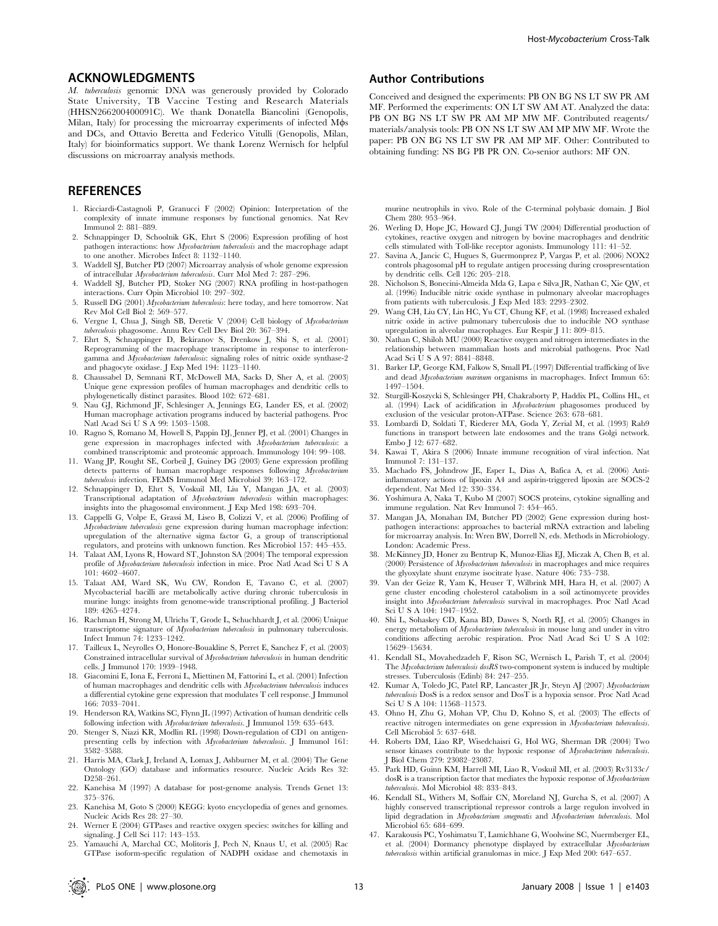#### ACKNOWLEDGMENTS

M. tuberculosis genomic DNA was generously provided by Colorado State University, TB Vaccine Testing and Research Materials (HHSN266200400091C). We thank Donatella Biancolini (Genopolis, Milan, Italy) for processing the microarray experiments of infected Mos and DCs, and Ottavio Beretta and Federico Vitulli (Genopolis, Milan, Italy) for bioinformatics support. We thank Lorenz Wernisch for helpful discussions on microarray analysis methods.

## **REFERENCES**

- 1. Ricciardi-Castagnoli P, Granucci F (2002) Opinion: Interpretation of the complexity of innate immune responses by functional genomics. Nat Rev Immunol 2: 881–889.
- 2. Schnappinger D, Schoolnik GK, Ehrt S (2006) Expression profiling of host pathogen interactions: how Mycobacterium tuberculosis and the macrophage adapt to one another. Microbes Infect 8: 1132–1140.
- 3. Waddell SJ, Butcher PD (2007) Microarray analysis of whole genome expression of intracellular Mycobacterium tuberculosis. Curr Mol Med 7: 287–296.
- 4. Waddell SJ, Butcher PD, Stoker NG (2007) RNA profiling in host-pathogen interactions. Curr Opin Microbiol 10: 297–302.
- 5. Russell DG (2001) Mycobacterium tuberculosis: here today, and here tomorrow. Nat Rev Mol Cell Biol 2: 569–577.
- 6. Vergne I, Chua J, Singh SB, Deretic V (2004) Cell biology of Mycobacterium tuberculosis phagosome. Annu Rev Cell Dev Biol 20: 367–394.
- 7. Ehrt S, Schnappinger D, Bekiranov S, Drenkow J, Shi S, et al. (2001) Reprogramming of the macrophage transcriptome in response to interferongamma and *Mycobacterium tuberculosis*: signaling roles of nitric oxide synthase-2 and phagocyte oxidase. J Exp Med 194: 1123–1140.
- 8. Chaussabel D, Semnani RT, McDowell MA, Sacks D, Sher A, et al. (2003) Unique gene expression profiles of human macrophages and dendritic cells to
- phylogenetically distinct parasites. Blood 102: 672–681. 9. Nau GJ, Richmond JF, Schlesinger A, Jennings EG, Lander ES, et al. (2002) Human macrophage activation programs induced by bacterial pathogens. Proc Natl Acad Sci U S A 99: 1503–1508.
- 10. Ragno S, Romano M, Howell S, Pappin DJ, Jenner PJ, et al. (2001) Changes in gene expression in macrophages infected with Mycobacterium tuberculosis: a
- combined transcriptomic and proteomic approach. Immunology 104: 99–108. 11. Wang JP, Rought SE, Corbeil J, Guiney DG (2003) Gene expression profiling detects patterns of human macrophage responses following Mycobacterium tuberculosis infection. FEMS Immunol Med Microbiol 39: 163–172.
- 12. Schnappinger D, Ehrt S, Voskuil MI, Liu Y, Mangan JA, et al. (2003) Transcriptional adaptation of Mycobacterium tuberculosis within macrophages: insights into the phagosomal environment. J Exp Med 198: 693–704.
- 13. Cappelli G, Volpe E, Grassi M, Liseo B, Colizzi V, et al. (2006) Profiling of Mycobacterium tuberculosis gene expression during human macrophage infection: upregulation of the alternative sigma factor G, a group of transcriptional regulators, and proteins with unknown function. Res Microbiol 157: 445–455.
- 14. Talaat AM, Lyons R, Howard ST, Johnston SA (2004) The temporal expression profile of Mycobacterium tuberculosis infection in mice. Proc Natl Acad Sci U S A 101: 4602–4607.
- 15. Talaat AM, Ward SK, Wu CW, Rondon E, Tavano C, et al. (2007) Mycobacterial bacilli are metabolically active during chronic tuberculosis in murine lungs: insights from genome-wide transcriptional profiling. J Bacteriol 189: 4265–4274.
- 16. Rachman H, Strong M, Ulrichs T, Grode L, Schuchhardt J, et al. (2006) Unique transcriptome signature of Mycobacterium tuberculosis in pulmonary tuberculosis. Infect Immun 74: 1233–1242.
- 17. Tailleux L, Neyrolles O, Honore-Bouakline S, Perret E, Sanchez F, et al. (2003) Constrained intracellular survival of Mycobacterium tuberculosis in human dendritic cells. J Immunol 170: 1939–1948.
- 18. Giacomini E, Iona E, Ferroni L, Miettinen M, Fattorini L, et al. (2001) Infection of human macrophages and dendritic cells with Mycobacterium tuberculosis induces a differential cytokine gene expression that modulates T cell response. J Immunol 166: 7033–7041.
- 19. Henderson RA, Watkins SC, Flynn JL (1997) Activation of human dendritic cells following infection with Mycobacterium tuberculosis. J Immunol 159: 635-643.
- 20. Stenger S, Niazi KR, Modlin RL (1998) Down-regulation of CD1 on antigenpresenting cells by infection with Mycobacterium tuberculosis. J Immunol 161: 3582–3588.
- 21. Harris MA, Clark J, Ireland A, Lomax J, Ashburner M, et al. (2004) The Gene Ontology (GO) database and informatics resource. Nucleic Acids Res 32: D258–261.
- 22. Kanehisa M (1997) A database for post-genome analysis. Trends Genet 13: 375–376.
- 23. Kanehisa M, Goto S (2000) KEGG: kyoto encyclopedia of genes and genomes. Nucleic Acids Res 28: 27–30.
- 24. Werner E (2004) GTPases and reactive oxygen species: switches for killing and signaling. J Cell Sci 117: 143–153.
- 25. Yamauchi A, Marchal CC, Molitoris J, Pech N, Knaus U, et al. (2005) Rac GTPase isoform-specific regulation of NADPH oxidase and chemotaxis in

#### Author Contributions

Conceived and designed the experiments: PB ON BG NS LT SW PR AM MF. Performed the experiments: ON LT SW AM AT. Analyzed the data: PB ON BG NS LT SW PR AM MP MW MF. Contributed reagents/ materials/analysis tools: PB ON NS LT SW AM MP MW MF. Wrote the paper: PB ON BG NS LT SW PR AM MP MF. Other: Contributed to obtaining funding: NS BG PB PR ON. Co-senior authors: MF ON.

murine neutrophils in vivo. Role of the C-terminal polybasic domain. J Biol Chem 280: 953–964.

- 26. Werling D, Hope JC, Howard CJ, Jungi TW (2004) Differential production of cytokines, reactive oxygen and nitrogen by bovine macrophages and dendritic cells stimulated with Toll-like receptor agonists. Immunology 111: 41–52.
- 27. Savina A, Jancic C, Hugues S, Guermonprez P, Vargas P, et al. (2006) NOX2 controls phagosomal pH to regulate antigen processing during crosspresentation by dendritic cells. Cell 126: 205–218.
- 28. Nicholson S, Bonecini-Almeida Mda G, Lapa e Silva JR, Nathan C, Xie QW, et al. (1996) Inducible nitric oxide synthase in pulmonary alveolar macrophages from patients with tuberculosis. J Exp Med 183: 2293–2302.
- 29. Wang CH, Liu CY, Lin HC, Yu CT, Chung KF, et al. (1998) Increased exhaled nitric oxide in active pulmonary tuberculosis due to inducible NO synthase upregulation in alveolar macrophages. Eur Respir J 11: 809–815.
- 30. Nathan C, Shiloh MU (2000) Reactive oxygen and nitrogen intermediates in the relationship between mammalian hosts and microbial pathogens. Proc Natl Acad Sci U S A 97: 8841–8848.
- 31. Barker LP, George KM, Falkow S, Small PL (1997) Differential trafficking of live and dead Mycobacterium marinum organisms in macrophages. Infect Immun 65: 1497–1504.
- 32. Sturgill-Koszycki S, Schlesinger PH, Chakraborty P, Haddix PL, Collins HL, et al. (1994) Lack of acidification in Mycobacterium phagosomes produced by exclusion of the vesicular proton-ATPase. Science 263: 678–681.
- 33. Lombardi D, Soldati T, Riederer MA, Goda Y, Zerial M, et al. (1993) Rab9 functions in transport between late endosomes and the trans Golgi network. Embo J 12: 677–682.
- 34. Kawai T, Akira S (2006) Innate immune recognition of viral infection. Nat Immunol 7: 131–137.
- 35. Machado FS, Johndrow JE, Esper L, Dias A, Bafica A, et al. (2006) Antiinflammatory actions of lipoxin A4 and aspirin-triggered lipoxin are SOCS-2 dependent. Nat Med 12: 330–334.
- 36. Yoshimura A, Naka T, Kubo M (2007) SOCS proteins, cytokine signalling and immune regulation. Nat Rev Immunol 7: 454–465.
- 37. Mangan JA, Monahan IM, Butcher PD (2002) Gene expression during hostpathogen interactions: approaches to bacterial mRNA extraction and labeling for microarray analysis. In: Wren BW, Dorrell N, eds. Methods in Microbiology. London: Academic Press.
- 38. McKinney JD, Honer zu Bentrup K, Munoz-Elias EJ, Miczak A, Chen B, et al. (2000) Persistence of Mycobacterium tuberculosis in macrophages and mice requires the glyoxylate shunt enzyme isocitrate lyase. Nature 406: 735–738.
- 39. Van der Geize R, Yam K, Heuser T, Wilbrink MH, Hara H, et al. (2007) A gene cluster encoding cholesterol catabolism in a soil actinomycete provides insight into Mycobacterium tuberculosis survival in macrophages. Proc Natl Acad Sci U S A 104: 1947–1952.
- 40. Shi L, Sohaskey CD, Kana BD, Dawes S, North RJ, et al. (2005) Changes in energy metabolism of Mycobacterium tuberculosis in mouse lung and under in vitro conditions affecting aerobic respiration. Proc Natl Acad Sci U S A 102: 15629–15634.
- 41. Kendall SL, Movahedzadeh F, Rison SC, Wernisch L, Parish T, et al. (2004) The Mycobacterium tuberculosis dosRS two-component system is induced by multiple stresses. Tuberculosis (Edinb) 84: 247–255.
- 42. Kumar A, Toledo JC, Patel RP, Lancaster JR Jr, Steyn AJ (2007) Mycobacterium tuberculosis DosS is a redox sensor and DosT is a hypoxia sensor. Proc Natl Acad Sci U S A 104: 11568–11573.
- 43. Ohno H, Zhu G, Mohan VP, Chu D, Kohno S, et al. (2003) The effects of reactive nitrogen intermediates on gene expression in Mycobacterium tuberculosis. Cell Microbiol 5: 637–648.
- 44. Roberts DM, Liao RP, Wisedchaisri G, Hol WG, Sherman DR (2004) Two sensor kinases contribute to the hypoxic response of Mycobacterium tuberculosis. J Biol Chem 279: 23082–23087.
- 45. Park HD, Guinn KM, Harrell MI, Liao R, Voskuil MI, et al. (2003) Rv3133c/ dosR is a transcription factor that mediates the hypoxic response of Mycobacterium tuberculosis. Mol Microbiol 48: 833–843.
- 46. Kendall SL, Withers M, Soffair CN, Moreland NJ, Gurcha S, et al. (2007) A highly conserved transcriptional repressor controls a large regulon involved in lipid degradation in Mycobacterium smegmatis and Mycobacterium tuberculosis. Mol Microbiol 65: 684–699.
- 47. Karakousis PC, Yoshimatsu T, Lamichhane G, Woolwine SC, Nuermberger EL, et al. (2004) Dormancy phenotype displayed by extracellular Mycobacterium tuberculosis within artificial granulomas in mice. J Exp Med 200: 647–657.